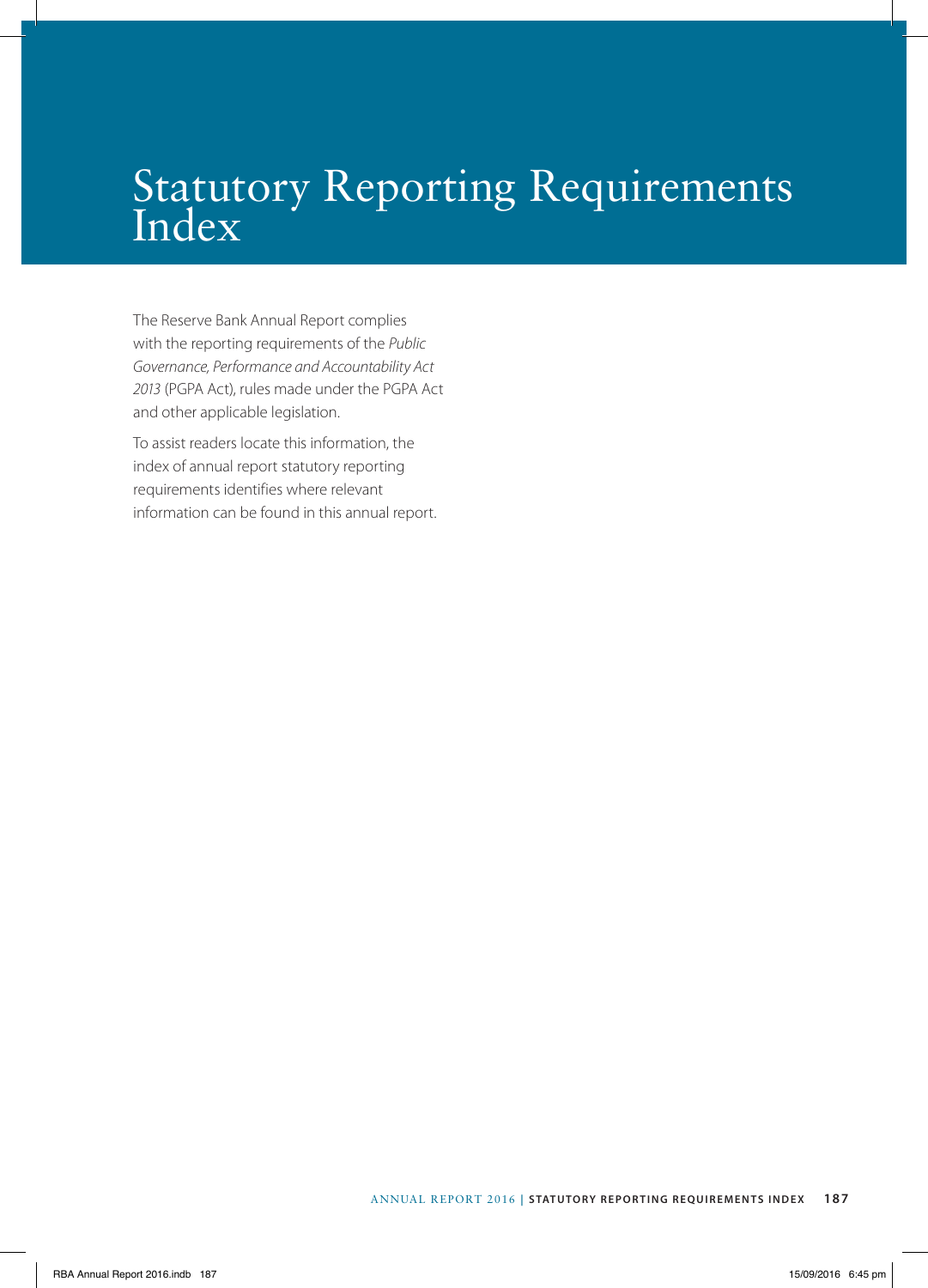## Statutory Reporting Requirements Index

The Reserve Bank Annual Report complies with the reporting requirements of the *Public Governance, Performance and Accountability Act 2013* (PGPA Act), rules made under the PGPA Act and other applicable legislation.

To assist readers locate this information, the index of annual report statutory reporting requirements identifies where relevant information can be found in this annual report.